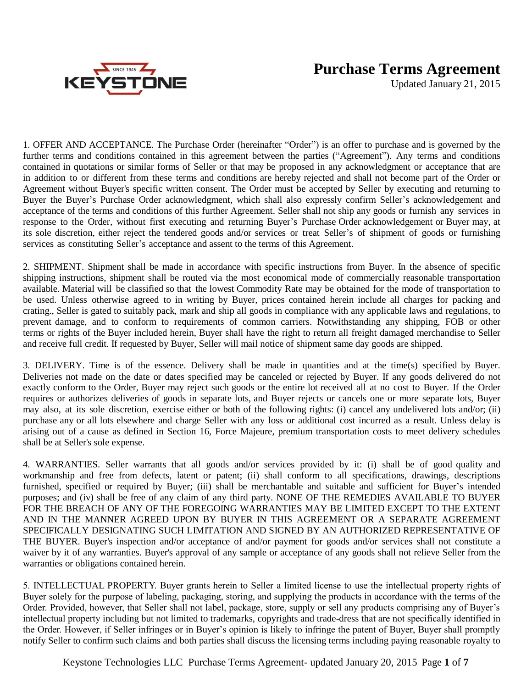

## **Purchase Terms Agreement**

Updated January 21, 2015

1. OFFER AND ACCEPTANCE. The Purchase Order (hereinafter "Order") is an offer to purchase and is governed by the further terms and conditions contained in this agreement between the parties ("Agreement"). Any terms and conditions contained in quotations or similar forms of Seller or that may be proposed in any acknowledgment or acceptance that are in addition to or different from these terms and conditions are hereby rejected and shall not become part of the Order or Agreement without Buyer's specific written consent. The Order must be accepted by Seller by executing and returning to Buyer the Buyer's Purchase Order acknowledgment, which shall also expressly confirm Seller's acknowledgement and acceptance of the terms and conditions of this further Agreement. Seller shall not ship any goods or furnish any services in response to the Order, without first executing and returning Buyer's Purchase Order acknowledgement or Buyer may, at its sole discretion, either reject the tendered goods and/or services or treat Seller's of shipment of goods or furnishing services as constituting Seller's acceptance and assent to the terms of this Agreement.

2. SHIPMENT. Shipment shall be made in accordance with specific instructions from Buyer. In the absence of specific shipping instructions, shipment shall be routed via the most economical mode of commercially reasonable transportation available. Material will be classified so that the lowest Commodity Rate may be obtained for the mode of transportation to be used. Unless otherwise agreed to in writing by Buyer, prices contained herein include all charges for packing and crating., Seller is gated to suitably pack, mark and ship all goods in compliance with any applicable laws and regulations, to prevent damage, and to conform to requirements of common carriers. Notwithstanding any shipping, FOB or other terms or rights of the Buyer included herein, Buyer shall have the right to return all freight damaged merchandise to Seller and receive full credit. If requested by Buyer, Seller will mail notice of shipment same day goods are shipped.

3. DELIVERY. Time is of the essence. Delivery shall be made in quantities and at the time(s) specified by Buyer. Deliveries not made on the date or dates specified may be canceled or rejected by Buyer. If any goods delivered do not exactly conform to the Order, Buyer may reject such goods or the entire lot received all at no cost to Buyer. If the Order requires or authorizes deliveries of goods in separate lots, and Buyer rejects or cancels one or more separate lots, Buyer may also, at its sole discretion, exercise either or both of the following rights: (i) cancel any undelivered lots and/or; (ii) purchase any or all lots elsewhere and charge Seller with any loss or additional cost incurred as a result. Unless delay is arising out of a cause as defined in Section 16, Force Majeure, premium transportation costs to meet delivery schedules shall be at Seller's sole expense.

4. WARRANTIES. Seller warrants that all goods and/or services provided by it: (i) shall be of good quality and workmanship and free from defects, latent or patent; (ii) shall conform to all specifications, drawings, descriptions furnished, specified or required by Buyer; (iii) shall be merchantable and suitable and sufficient for Buyer's intended purposes; and (iv) shall be free of any claim of any third party. NONE OF THE REMEDIES AVAILABLE TO BUYER FOR THE BREACH OF ANY OF THE FOREGOING WARRANTIES MAY BE LIMITED EXCEPT TO THE EXTENT AND IN THE MANNER AGREED UPON BY BUYER IN THIS AGREEMENT OR A SEPARATE AGREEMENT SPECIFICALLY DESIGNATING SUCH LIMITATION AND SIGNED BY AN AUTHORIZED REPRESENTATIVE OF THE BUYER. Buyer's inspection and/or acceptance of and/or payment for goods and/or services shall not constitute a waiver by it of any warranties. Buyer's approval of any sample or acceptance of any goods shall not relieve Seller from the warranties or obligations contained herein.

5. INTELLECTUAL PROPERTY. Buyer grants herein to Seller a limited license to use the intellectual property rights of Buyer solely for the purpose of labeling, packaging, storing, and supplying the products in accordance with the terms of the Order. Provided, however, that Seller shall not label, package, store, supply or sell any products comprising any of Buyer's intellectual property including but not limited to trademarks, copyrights and trade-dress that are not specifically identified in the Order. However, if Seller infringes or in Buyer's opinion is likely to infringe the patent of Buyer, Buyer shall promptly notify Seller to confirm such claims and both parties shall discuss the licensing terms including paying reasonable royalty to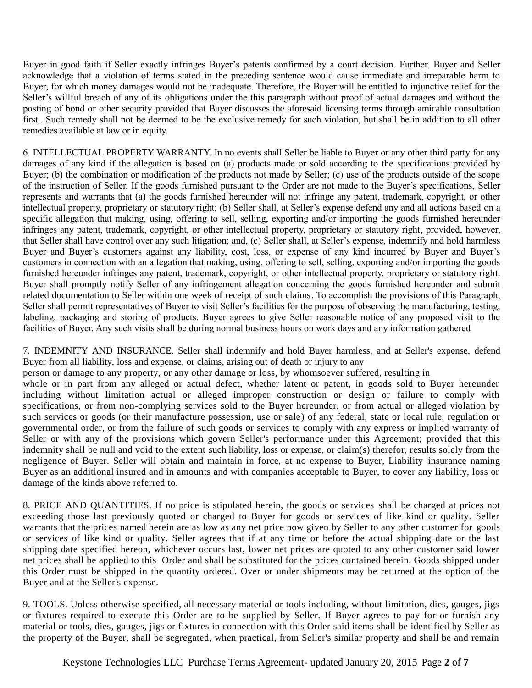Buyer in good faith if Seller exactly infringes Buyer's patents confirmed by a court decision. Further, Buyer and Seller acknowledge that a violation of terms stated in the preceding sentence would cause immediate and irreparable harm to Buyer, for which money damages would not be inadequate. Therefore, the Buyer will be entitled to injunctive relief for the Seller's willful breach of any of its obligations under the this paragraph without proof of actual damages and without the posting of bond or other security provided that Buyer discusses the aforesaid licensing terms through amicable consultation first.. Such remedy shall not be deemed to be the exclusive remedy for such violation, but shall be in addition to all other remedies available at law or in equity.

6. INTELLECTUAL PROPERTY WARRANTY. In no events shall Seller be liable to Buyer or any other third party for any damages of any kind if the allegation is based on (a) products made or sold according to the specifications provided by Buyer; (b) the combination or modification of the products not made by Seller; (c) use of the products outside of the scope of the instruction of Seller. If the goods furnished pursuant to the Order are not made to the Buyer's specifications, Seller represents and warrants that (a) the goods furnished hereunder will not infringe any patent, trademark, copyright, or other intellectual property, proprietary or statutory right; (b) Seller shall, at Seller's expense defend any and all actions based on a specific allegation that making, using, offering to sell, selling, exporting and/or importing the goods furnished hereunder infringes any patent, trademark, copyright, or other intellectual property, proprietary or statutory right, provided, however, that Seller shall have control over any such litigation; and, (c) Seller shall, at Seller's expense, indemnify and hold harmless Buyer and Buyer's customers against any liability, cost, loss, or expense of any kind incurred by Buyer and Buyer's customers in connection with an allegation that making, using, offering to sell, selling, exporting and/or importing the goods furnished hereunder infringes any patent, trademark, copyright, or other intellectual property, proprietary or statutory right. Buyer shall promptly notify Seller of any infringement allegation concerning the goods furnished hereunder and submit related documentation to Seller within one week of receipt of such claims. To accomplish the provisions of this Paragraph, Seller shall permit representatives of Buyer to visit Seller's facilities for the purpose of observing the manufacturing, testing, labeling, packaging and storing of products. Buyer agrees to give Seller reasonable notice of any proposed visit to the facilities of Buyer. Any such visits shall be during normal business hours on work days and any information gathered

7. INDEMNITY AND INSURANCE. Seller shall indemnify and hold Buyer harmless, and at Seller's expense, defend Buyer from all liability, loss and expense, or claims, arising out of death or injury to any

person or damage to any property, or any other damage or loss, by whomsoever suffered, resulting in

whole or in part from any alleged or actual defect, whether latent or patent, in goods sold to Buyer hereunder including without limitation actual or alleged improper construction or design or failure to comply with specifications, or from non-complying services sold to the Buyer hereunder, or from actual or alleged violation by such services or goods (or their manufacture possession, use or sale) of any federal, state or local rule, regulation or governmental order, or from the failure of such goods or services to comply with any express or implied warranty of Seller or with any of the provisions which govern Seller's performance under this Agreement; provided that this indemnity shall be null and void to the extent such liability, loss or expense, or claim(s) therefor, results solely from the negligence of Buyer. Seller will obtain and maintain in force, at no expense to Buyer, Liability insurance naming Buyer as an additional insured and in amounts and with companies acceptable to Buyer, to cover any liability, loss or damage of the kinds above referred to.

8. PRICE AND QUANTITIES. If no price is stipulated herein, the goods or services shall be charged at prices not exceeding those last previously quoted or charged to Buyer for goods or services of like kind or quality. Seller warrants that the prices named herein are as low as any net price now given by Seller to any other customer for goods or services of like kind or quality. Seller agrees that if at any time or before the actual shipping date or the last shipping date specified hereon, whichever occurs last, lower net prices are quoted to any other customer said lower net prices shall be applied to this Order and shall be substituted for the prices contained herein. Goods shipped under this Order must be shipped in the quantity ordered. Over or under shipments may be returned at the option of the Buyer and at the Seller's expense.

9. TOOLS. Unless otherwise specified, all necessary material or tools including, without limitation, dies, gauges, jigs or fixtures required to execute this Order are to be supplied by Seller. If Buyer agrees to pay for or furnish any material or tools, dies, gauges, jigs or fixtures in connection with this Order said items shall be identified by Seller as the property of the Buyer, shall be segregated, when practical, from Seller's similar property and shall be and remain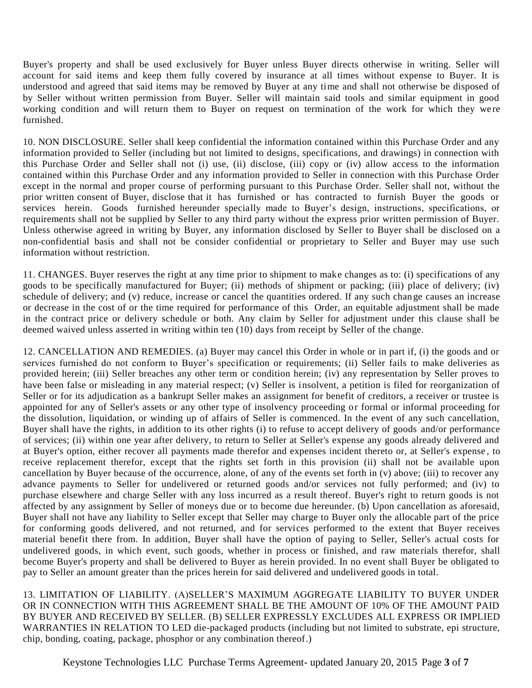Buyer's property and shall be used exclusively for Buyer unless Buyer directs otherwise in writing. Seller will account for said items and keep them fully covered by insurance at all times without expense to Buyer. It is understood and agreed that said items may be removed by Buyer at any time and shall not otherwise be disposed of by Seller without written permission from Buyer. Seller will maintain said tools and similar equipment in good working condition and will return them to Buyer on request on termination of the work for which they were furnished.

10. NON DISCLOSURE. Seller shall keep confidential the information contained within this Purchase Order and any information provided to Seller (including but not limited to designs, specifications, and drawings) in connection with this Purchase Order and Seller shall not (i) use, (ii) disclose, (iii) copy or (iv) allow access to the information contained within this Purchase Order and any information provided to Seller in connection with this Purchase Order except in the normal and proper course of performing pursuant to this Purchase Order. Seller shall not, without the prior written consent of Buyer, disclose that it has furnished or has contracted to furnish Buyer the goods or services herein. Goods furnished hereunder specially made to Buyer's design, instructions, specifications, or requirements shall not be supplied by Seller to any third party without the express prior written permission of Buyer. Unless otherwise agreed in writing by Buyer, any information disclosed by Seller to Buyer shall be disclosed on a non-confidential basis and shall not be consider confidential or proprietary to Seller and Buyer may use such information without restriction.

11. CHANGES. Buyer reserves the right at any time prior to shipment to make changes as to: (i) specifications of any goods to be specifically manufactured for Buyer; (ii) methods of shipment or packing; (iii) place of delivery; (iv) schedule of delivery; and (v) reduce, increase or cancel the quantities ordered. If any such chan ge causes an increase or decrease in the cost of or the time required for performance of this Order, an equitable adjustment shall be made in the contract price or delivery schedule or both. Any claim by Seller for adjustment under this clause shall be deemed waived unless asserted in writing within ten (10) days from receipt by Seller of the change.

12. CANCELLATION AND REMEDIES. (a) Buyer may cancel this Order in whole or in part if, (i) the goods and or services furnished do not conform to Buyer's specification or requirements; (ii) Seller fails to make deliveries as provided herein; (iii) Seller breaches any other term or condition herein; (iv) any representation by Seller proves to have been false or misleading in any material respect; (v) Seller is insolvent, a petition is filed for reorganization of Seller or for its adjudication as a bankrupt Seller makes an assignment for benefit of creditors, a receiver or trustee is appointed for any of Seller's assets or any other type of insolvency proceeding or formal or informal proceeding for the dissolution, liquidation, or winding up of affairs of Seller is commenced. In the event of any such cancellation, Buyer shall have the rights, in addition to its other rights (i) to refuse to accept delivery of goods and/or performance of services; (ii) within one year after delivery, to return to Seller at Seller's expense any goods already delivered and at Buyer's option, either recover all payments made therefor and expenses incident thereto or, at Seller's expense , to receive replacement therefor, except that the rights set forth in this provision (ii) shall not be available upon cancellation by Buyer because of the occurrence, alone, of any of the events set forth in (v) above; (iii) to recover any advance payments to Seller for undelivered or returned goods and/or services not fully performed; and (iv) to purchase elsewhere and charge Seller with any loss incurred as a result thereof. Buyer's right to return goods is not affected by any assignment by Seller of moneys due or to become due hereunder. (b) Upon cancellation as aforesaid, Buyer shall not have any liability to Seller except that Seller may charge to Buyer only the allocable part of the price for conforming goods delivered, and not returned, and for services performed to the extent that Buyer receives material benefit there from. In addition, Buyer shall have the option of paying to Seller, Seller's actual costs for undelivered goods, in which event, such goods, whether in process or finished, and raw materials therefor, shall become Buyer's property and shall be delivered to Buyer as herein provided. In no event shall Buyer be obligated to pay to Seller an amount greater than the prices herein for said delivered and undelivered goods in total.

13. LIMITATION OF LIABILITY. (A)SELLER'S MAXIMUM AGGREGATE LIABILITY TO BUYER UNDER OR IN CONNECTION WITH THIS AGREEMENT SHALL BE THE AMOUNT OF 10% OF THE AMOUNT PAID BY BUYER AND RECEIVED BY SELLER. (B) SELLER EXPRESSLY EXCLUDES ALL EXPRESS OR IMPLIED WARRANTIES IN RELATION TO LED die-packaged products (including but not limited to substrate, epi structure, chip, bonding, coating, package, phosphor or any combination thereof.)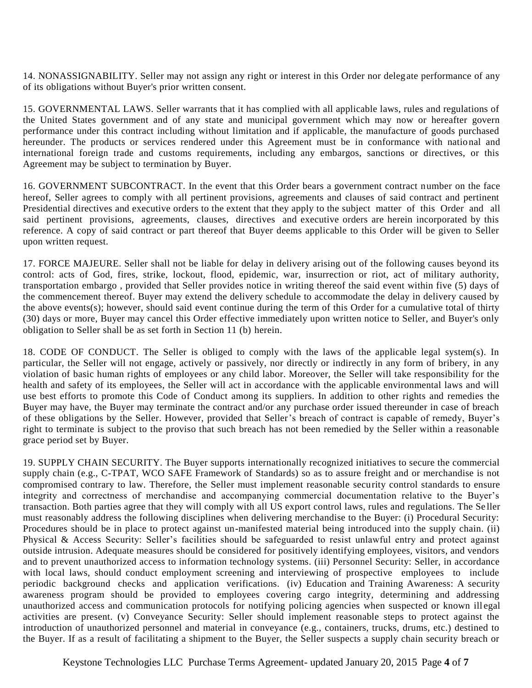14. NONASSIGNABILITY. Seller may not assign any right or interest in this Order nor delegate performance of any of its obligations without Buyer's prior written consent.

15. GOVERNMENTAL LAWS. Seller warrants that it has complied with all applicable laws, rules and regulations of the United States government and of any state and municipal government which may now or hereafter govern performance under this contract including without limitation and if applicable, the manufacture of goods purchased hereunder. The products or services rendered under this Agreement must be in conformance with national and international foreign trade and customs requirements, including any embargos, sanctions or directives, or this Agreement may be subject to termination by Buyer.

16. GOVERNMENT SUBCONTRACT. In the event that this Order bears a government contract number on the face hereof, Seller agrees to comply with all pertinent provisions, agreements and clauses of said contract and pertinent Presidential directives and executive orders to the extent that they apply to the subject matter of this Order and all said pertinent provisions, agreements, clauses, directives and executive orders are herein incorporated by this reference. A copy of said contract or part thereof that Buyer deems applicable to this Order will be given to Seller upon written request.

17. FORCE MAJEURE. Seller shall not be liable for delay in delivery arising out of the following causes beyond its control: acts of God, fires, strike, lockout, flood, epidemic, war, insurrection or riot, act of military authority, transportation embargo , provided that Seller provides notice in writing thereof the said event within five (5) days of the commencement thereof. Buyer may extend the delivery schedule to accommodate the delay in delivery caused by the above events(s); however, should said event continue during the term of this Order for a cumulative total of thirty (30) days or more, Buyer may cancel this Order effective immediately upon written notice to Seller, and Buyer's only obligation to Seller shall be as set forth in Section 11 (b) herein.

18. CODE OF CONDUCT. The Seller is obliged to comply with the laws of the applicable legal system(s). In particular, the Seller will not engage, actively or passively, nor directly or indirectly in any form of bribery, in any violation of basic human rights of employees or any child labor. Moreover, the Seller will take responsibility for the health and safety of its employees, the Seller will act in accordance with the applicable environmental laws and will use best efforts to promote this Code of Conduct among its suppliers. In addition to other rights and remedies the Buyer may have, the Buyer may terminate the contract and/or any purchase order issued thereunder in case of breach of these obligations by the Seller. However, provided that Seller's breach of contract is capable of remedy, Buyer's right to terminate is subject to the proviso that such breach has not been remedied by the Seller within a reasonable grace period set by Buyer.

19. SUPPLY CHAIN SECURITY. The Buyer supports internationally recognized initiatives to secure the commercial supply chain (e.g., C-TPAT, WCO SAFE Framework of Standards) so as to assure freight and or merchandise is not compromised contrary to law. Therefore, the Seller must implement reasonable security control standards to ensure integrity and correctness of merchandise and accompanying commercial documentation relative to the Buyer's transaction. Both parties agree that they will comply with all US export control laws, rules and regulations. The Se ller must reasonably address the following disciplines when delivering merchandise to the Buyer: (i) Procedural Security: Procedures should be in place to protect against un-manifested material being introduced into the supply chain. (ii) Physical & Access Security: Seller's facilities should be safeguarded to resist unlawful entry and protect against outside intrusion. Adequate measures should be considered for positively identifying employees, visitors, and vendors and to prevent unauthorized access to information technology systems. (iii) Personnel Security: Seller, in accordance with local laws, should conduct employment screening and interviewing of prospective employees to include periodic background checks and application verifications. (iv) Education and Training Awareness: A security awareness program should be provided to employees covering cargo integrity, determining and addressing unauthorized access and communication protocols for notifying policing agencies when suspected or known ill egal activities are present. (v) Conveyance Security: Seller should implement reasonable steps to protect against the introduction of unauthorized personnel and material in conveyance (e.g., containers, trucks, drums, etc.) destined to the Buyer. If as a result of facilitating a shipment to the Buyer, the Seller suspects a supply chain security breach or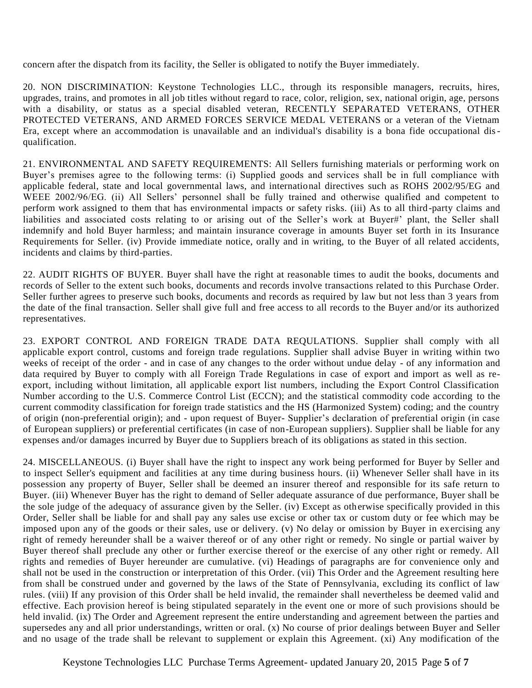concern after the dispatch from its facility, the Seller is obligated to notify the Buyer immediately.

20. NON DISCRIMINATION: Keystone Technologies LLC., through its responsible managers, recruits, hires, upgrades, trains, and promotes in all job titles without regard to race, color, religion, sex, national origin, age, persons with a disability, or status as a special disabled veteran, RECENTLY SEPARATED VETERANS, OTHER PROTECTED VETERANS, AND ARMED FORCES SERVICE MEDAL VETERANS or a veteran of the Vietnam Era, except where an accommodation is unavailable and an individual's disability is a bona fide occupational disqualification.

21. ENVIRONMENTAL AND SAFETY REQUIREMENTS: All Sellers furnishing materials or performing work on Buyer's premises agree to the following terms: (i) Supplied goods and services shall be in full compliance with applicable federal, state and local governmental laws, and international directives such as ROHS 2002/95/EG and WEEE 2002/96/EG. (ii) All Sellers' personnel shall be fully trained and otherwise qualified and competent to perform work assigned to them that has environmental impacts or safety risks. (iii) As to all third -party claims and liabilities and associated costs relating to or arising out of the Seller's work at Buyer#' plant, the Seller shall indemnify and hold Buyer harmless; and maintain insurance coverage in amounts Buyer set forth in its Insurance Requirements for Seller. (iv) Provide immediate notice, orally and in writing, to the Buyer of all related accidents, incidents and claims by third-parties.

22. AUDIT RIGHTS OF BUYER. Buyer shall have the right at reasonable times to audit the books, documents and records of Seller to the extent such books, documents and records involve transactions related to this Purchase Order. Seller further agrees to preserve such books, documents and records as required by law but not less than 3 years from the date of the final transaction. Seller shall give full and free access to all records to the Buyer and/or its authorized representatives.

23. EXPORT CONTROL AND FOREIGN TRADE DATA REQULATIONS. Supplier shall comply with all applicable export control, customs and foreign trade regulations. Supplier shall advise Buyer in writing within two weeks of receipt of the order - and in case of any changes to the order without undue delay - of any information and data required by Buyer to comply with all Foreign Trade Regulations in case of export and import as well as reexport, including without limitation, all applicable export list numbers, including the Export Control Classification Number according to the U.S. Commerce Control List (ECCN); and the statistical commodity code according to the current commodity classification for foreign trade statistics and the HS (Harmonized System) coding; and the country of origin (non-preferential origin); and - upon request of Buyer- Supplier's declaration of preferential origin (in case of European suppliers) or preferential certificates (in case of non-European suppliers). Supplier shall be liable for any expenses and/or damages incurred by Buyer due to Suppliers breach of its obligations as stated in this section.

24. MISCELLANEOUS. (i) Buyer shall have the right to inspect any work being performed for Buyer by Seller and to inspect Seller's equipment and facilities at any time during business hours. (ii) Whenever Seller shall have in its possession any property of Buyer, Seller shall be deemed an insurer thereof and responsible for its safe return to Buyer. (iii) Whenever Buyer has the right to demand of Seller adequate assurance of due performance, Buyer shall be the sole judge of the adequacy of assurance given by the Seller. (iv) Except as otherwise specifically provided in this Order, Seller shall be liable for and shall pay any sales use excise or other tax or custom duty or fee which may be imposed upon any of the goods or their sales, use or delivery. (v) No delay or omission by Buyer in exercising any right of remedy hereunder shall be a waiver thereof or of any other right or remedy. No single or partial waiver by Buyer thereof shall preclude any other or further exercise thereof or the exercise of any other right or remedy. All rights and remedies of Buyer hereunder are cumulative. (vi) Headings of paragraphs are for convenience only and shall not be used in the construction or interpretation of this Order. (vii) This Order and the Agreement resulting here from shall be construed under and governed by the laws of the State of Pennsylvania, excluding its conflict of law rules. (viii) If any provision of this Order shall be held invalid, the remainder shall nevertheless be deemed valid and effective. Each provision hereof is being stipulated separately in the event one or more of such provisions should be held invalid. (ix) The Order and Agreement represent the entire understanding and agreement between the parties and supersedes any and all prior understandings, written or oral. (x) No course of prior dealings between Buyer and Seller and no usage of the trade shall be relevant to supplement or explain this Agreement. (xi) Any modification of the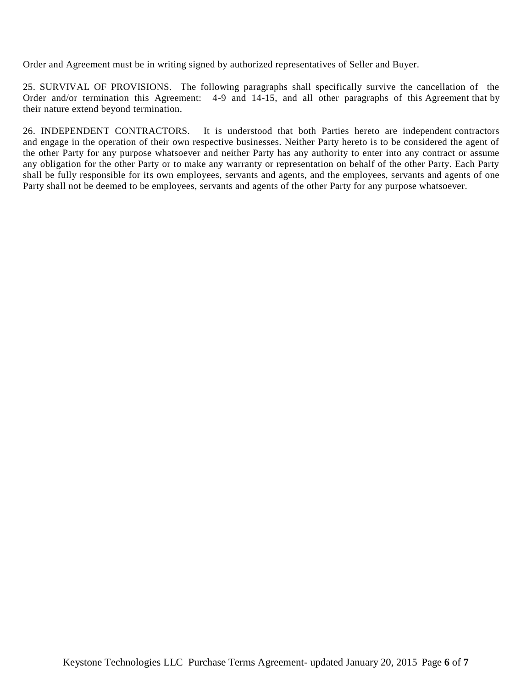Order and Agreement must be in writing signed by authorized representatives of Seller and Buyer.

25. SURVIVAL OF PROVISIONS. The following paragraphs shall specifically survive the cancellation of the Order and/or termination this Agreement: 4-9 and 14-15, and all other paragraphs of this Agreement that by their nature extend beyond termination.

26. INDEPENDENT CONTRACTORS. It is understood that both Parties hereto are independent contractors and engage in the operation of their own respective businesses. Neither Party hereto is to be considered the agent of the other Party for any purpose whatsoever and neither Party has any authority to enter into any contract or assume any obligation for the other Party or to make any warranty or representation on behalf of the other Party. Each Party shall be fully responsible for its own employees, servants and agents, and the employees, servants and agents of one Party shall not be deemed to be employees, servants and agents of the other Party for any purpose whatsoever.